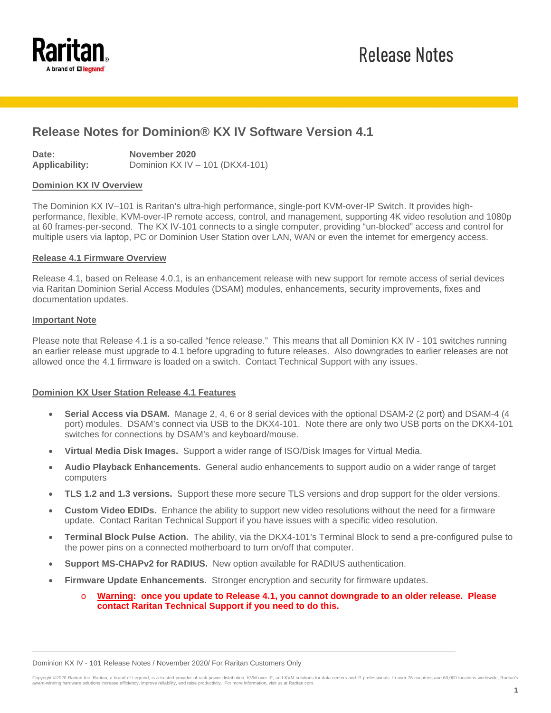

# **Release Notes**

# **Release Notes for Dominion® KX IV Software Version 4.1**

**Date: November 2020 Applicability:** Dominion KX IV – 101 (DKX4-101)

#### **Dominion KX IV Overview**

The Dominion KX IV–101 is Raritan's ultra-high performance, single-port KVM-over-IP Switch. It provides highperformance, flexible, KVM-over-IP remote access, control, and management, supporting 4K video resolution and 1080p at 60 frames-per-second. The KX IV-101 connects to a single computer, providing "un-blocked" access and control for multiple users via laptop, PC or Dominion User Station over LAN, WAN or even the internet for emergency access.

#### **Release 4.1 Firmware Overview**

Release 4.1, based on Release 4.0.1, is an enhancement release with new support for remote access of serial devices via Raritan Dominion Serial Access Modules (DSAM) modules, enhancements, security improvements, fixes and documentation updates.

#### **Important Note**

Please note that Release 4.1 is a so-called "fence release." This means that all Dominion KX IV - 101 switches running an earlier release must upgrade to 4.1 before upgrading to future releases. Also downgrades to earlier releases are not allowed once the 4.1 firmware is loaded on a switch. Contact Technical Support with any issues.

#### **Dominion KX User Station Release 4.1 Features**

- Serial Access via DSAM. Manage 2, 4, 6 or 8 serial devices with the optional DSAM-2 (2 port) and DSAM-4 (4 port) modules. DSAM's connect via USB to the DKX4-101. Note there are only two USB ports on the DKX4-101 switches for connections by DSAM's and keyboard/mouse.
- **Virtual Media Disk Images.** Support a wider range of ISO/Disk Images for Virtual Media.
- **Audio Playback Enhancements.** General audio enhancements to support audio on a wider range of target computers
- **TLS 1.2 and 1.3 versions.** Support these more secure TLS versions and drop support for the older versions.
- **Custom Video EDIDs.** Enhance the ability to support new video resolutions without the need for a firmware update. Contact Raritan Technical Support if you have issues with a specific video resolution.
- **Terminal Block Pulse Action.** The ability, via the DKX4-101's Terminal Block to send a pre-configured pulse to the power pins on a connected motherboard to turn on/off that computer.
- **Support MS-CHAPv2 for RADIUS.** New option available for RADIUS authentication.
- **Firmware Update Enhancements**. Stronger encryption and security for firmware updates.
	- o **Warning: once you update to Release 4.1, you cannot downgrade to an older release. Please contact Raritan Technical Support if you need to do this.**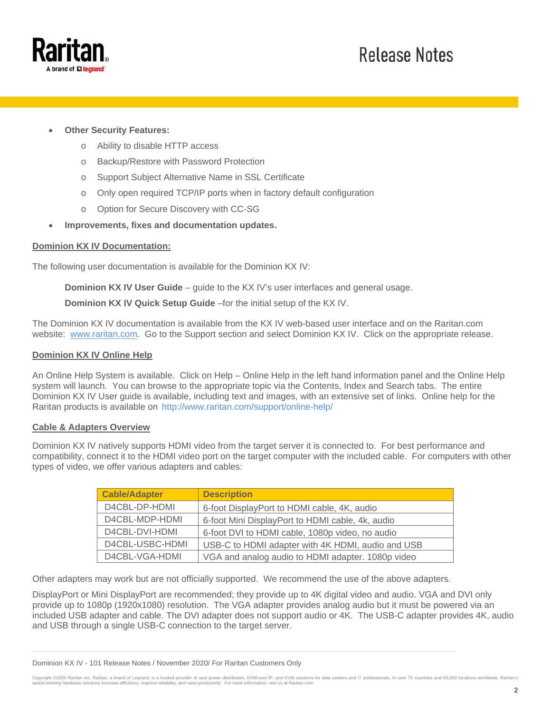

# **Release Notes**

# **Other Security Features:**

- o Ability to disable HTTP access
- o Backup/Restore with Password Protection
- o Support Subject Alternative Name in SSL Certificate
- o Only open required TCP/IP ports when in factory default configuration
- Option for Secure Discovery with CC-SG

# **Improvements, fixes and documentation updates.**

# **Dominion KX IV Documentation:**

The following user documentation is available for the Dominion KX IV:

**Dominion KX IV User Guide** – guide to the KX IV's user interfaces and general usage.

**Dominion KX IV Quick Setup Guide** –for the initial setup of the KX IV.

The Dominion KX IV documentation is available from the KX IV web-based user interface and on the Raritan.com website: www.raritan.com. Go to the Support section and select Dominion KX IV. Click on the appropriate release.

### **Dominion KX IV Online Help**

An Online Help System is available. Click on Help – Online Help in the left hand information panel and the Online Help system will launch. You can browse to the appropriate topic via the Contents, Index and Search tabs. The entire Dominion KX IV User guide is available, including text and images, with an extensive set of links. Online help for the Raritan products is available on http://www.raritan.com/support/online-help/

#### **Cable & Adapters Overview**

Dominion KX IV natively supports HDMI video from the target server it is connected to. For best performance and compatibility, connect it to the HDMI video port on the target computer with the included cable. For computers with other types of video, we offer various adapters and cables:

| <b>Cable/Adapter</b> | <b>Description</b>                                |
|----------------------|---------------------------------------------------|
| D4CBL-DP-HDMI        | 6-foot DisplayPort to HDMI cable, 4K, audio       |
| D4CBL-MDP-HDMI       | 6-foot Mini DisplayPort to HDMI cable, 4k, audio  |
| D4CBL-DVI-HDMI       | 6-foot DVI to HDMI cable, 1080p video, no audio   |
| D4CBL-USBC-HDMI      | USB-C to HDMI adapter with 4K HDMI, audio and USB |
| D4CBL-VGA-HDMI       | VGA and analog audio to HDMI adapter. 1080p video |

Other adapters may work but are not officially supported. We recommend the use of the above adapters.

DisplayPort or Mini DisplayPort are recommended; they provide up to 4K digital video and audio. VGA and DVI only provide up to 1080p (1920x1080) resolution. The VGA adapter provides analog audio but it must be powered via an included USB adapter and cable. The DVI adapter does not support audio or 4K. The USB-C adapter provides 4K, audio and USB through a single USB-C connection to the target server.

Copyright ©2020 Raritan Inc. Raritan, a brand of Legrand, is a trusted provider of rack power distribution, KVM-over-IP, and KVM solutions for data centers and IT professionals. In over 76 countries and 60,000 locations wo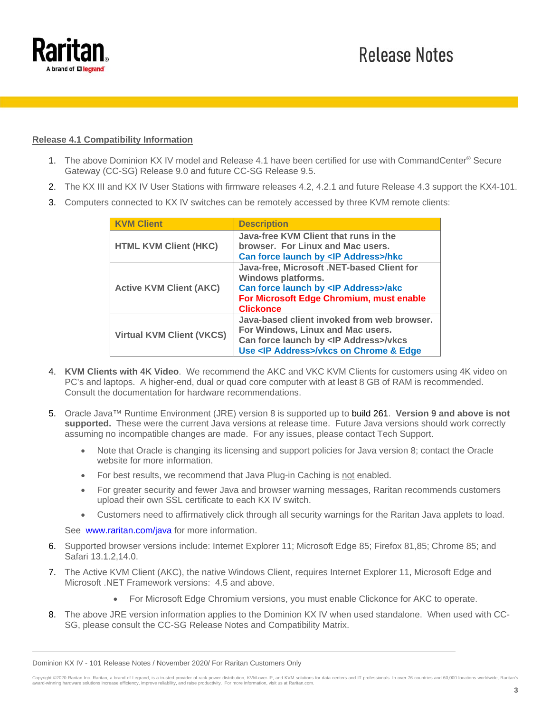

# **Release 4.1 Compatibility Information**

- 1. The above Dominion KX IV model and Release 4.1 have been certified for use with CommandCenter® Secure Gateway (CC-SG) Release 9.0 and future CC-SG Release 9.5.
- 2. The KX III and KX IV User Stations with firmware releases 4.2, 4.2.1 and future Release 4.3 support the KX4-101.
- 3. Computers connected to KX IV switches can be remotely accessed by three KVM remote clients:

| <b>KVM Client</b>                | <b>Description</b>                                                                                                                                                                        |
|----------------------------------|-------------------------------------------------------------------------------------------------------------------------------------------------------------------------------------------|
| <b>HTML KVM Client (HKC)</b>     | Java-free KVM Client that runs in the<br>browser. For Linux and Mac users.<br>Can force launch by <ip address="">/hkc</ip>                                                                |
| <b>Active KVM Client (AKC)</b>   | Java-free, Microsoft .NET-based Client for<br><b>Windows platforms.</b><br>Can force launch by <ip address="">/akc<br/>For Microsoft Edge Chromium, must enable<br/><b>Clickonce</b></ip> |
| <b>Virtual KVM Client (VKCS)</b> | Java-based client invoked from web browser.<br>For Windows, Linux and Mac users.<br>Can force launch by <ip address="">/vkcs<br/>Use <ip address="">/vkcs on Chrome &amp; Edge</ip></ip>  |

- 4. **KVM Clients with 4K Video**. We recommend the AKC and VKC KVM Clients for customers using 4K video on PC's and laptops. A higher-end, dual or quad core computer with at least 8 GB of RAM is recommended. Consult the documentation for hardware recommendations.
- 5. Oracle Java™ Runtime Environment (JRE) version 8 is supported up to build 261. **Version 9 and above is not supported.** These were the current Java versions at release time. Future Java versions should work correctly assuming no incompatible changes are made. For any issues, please contact Tech Support.
	- Note that Oracle is changing its licensing and support policies for Java version 8; contact the Oracle website for more information.
	- For best results, we recommend that Java Plug-in Caching is not enabled.
	- For greater security and fewer Java and browser warning messages, Raritan recommends customers upload their own SSL certificate to each KX IV switch.
	- Customers need to affirmatively click through all security warnings for the Raritan Java applets to load.

See www.raritan.com/java for more information.

- 6. Supported browser versions include: Internet Explorer 11; Microsoft Edge 85; Firefox 81,85; Chrome 85; and Safari 13.1.2,14.0.
- 7. The Active KVM Client (AKC), the native Windows Client, requires Internet Explorer 11, Microsoft Edge and Microsoft .NET Framework versions: 4.5 and above.
	- For Microsoft Edge Chromium versions, you must enable Clickonce for AKC to operate.
- 8. The above JRE version information applies to the Dominion KX IV when used standalone. When used with CC-SG, please consult the CC-SG Release Notes and Compatibility Matrix.

Dominion KX IV - 101 Release Notes / November 2020/ For Raritan Customers Only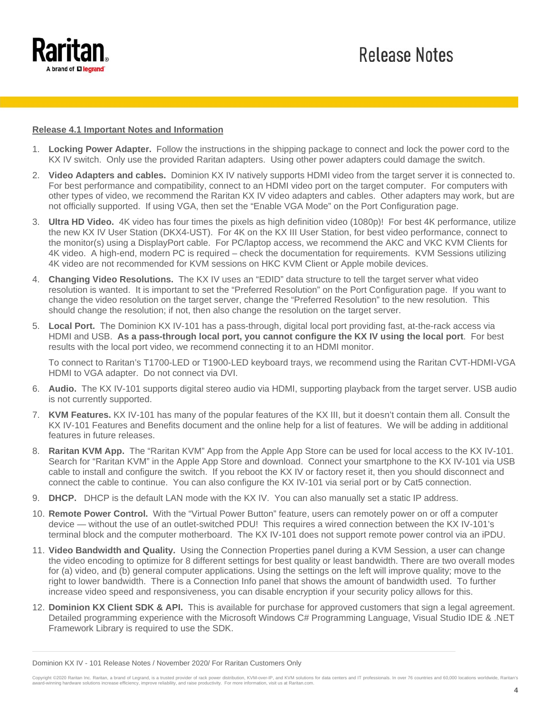

# **Release 4.1 Important Notes and Information**

- 1. **Locking Power Adapter.** Follow the instructions in the shipping package to connect and lock the power cord to the KX IV switch. Only use the provided Raritan adapters. Using other power adapters could damage the switch.
- 2. **Video Adapters and cables.** Dominion KX IV natively supports HDMI video from the target server it is connected to. For best performance and compatibility, connect to an HDMI video port on the target computer. For computers with other types of video, we recommend the Raritan KX IV video adapters and cables. Other adapters may work, but are not officially supported. If using VGA, then set the "Enable VGA Mode" on the Port Configuration page.
- 3. **Ultra HD Video.** 4K video has four times the pixels as high definition video (1080p)! For best 4K performance, utilize the new KX IV User Station (DKX4-UST). For 4K on the KX III User Station, for best video performance, connect to the monitor(s) using a DisplayPort cable. For PC/laptop access, we recommend the AKC and VKC KVM Clients for 4K video. A high-end, modern PC is required – check the documentation for requirements. KVM Sessions utilizing 4K video are not recommended for KVM sessions on HKC KVM Client or Apple mobile devices.
- 4. **Changing Video Resolutions.** The KX IV uses an "EDID" data structure to tell the target server what video resolution is wanted. It is important to set the "Preferred Resolution" on the Port Configuration page. If you want to change the video resolution on the target server, change the "Preferred Resolution" to the new resolution. This should change the resolution; if not, then also change the resolution on the target server.
- 5. **Local Port.** The Dominion KX IV-101 has a pass-through, digital local port providing fast, at-the-rack access via HDMI and USB. **As a pass-through local port, you cannot configure the KX IV using the local port**. For best results with the local port video, we recommend connecting it to an HDMI monitor.

To connect to Raritan's T1700-LED or T1900-LED keyboard trays, we recommend using the Raritan CVT-HDMI-VGA HDMI to VGA adapter. Do not connect via DVI.

- 6. **Audio.** The KX IV-101 supports digital stereo audio via HDMI, supporting playback from the target server. USB audio is not currently supported.
- 7. **KVM Features.** KX IV-101 has many of the popular features of the KX III, but it doesn't contain them all. Consult the KX IV-101 Features and Benefits document and the online help for a list of features. We will be adding in additional features in future releases.
- 8. **Raritan KVM App.** The "Raritan KVM" App from the Apple App Store can be used for local access to the KX IV-101. Search for "Raritan KVM" in the Apple App Store and download. Connect your smartphone to the KX IV-101 via USB cable to install and configure the switch. If you reboot the KX IV or factory reset it, then you should disconnect and connect the cable to continue. You can also configure the KX IV-101 via serial port or by Cat5 connection.
- 9. **DHCP.** DHCP is the default LAN mode with the KX IV. You can also manually set a static IP address.
- 10. **Remote Power Control.** With the "Virtual Power Button" feature, users can remotely power on or off a computer device — without the use of an outlet-switched PDU! This requires a wired connection between the KX IV-101's terminal block and the computer motherboard. The KX IV-101 does not support remote power control via an iPDU.
- 11. **Video Bandwidth and Quality.** Using the Connection Properties panel during a KVM Session, a user can change the video encoding to optimize for 8 different settings for best quality or least bandwidth. There are two overall modes for (a) video, and (b) general computer applications. Using the settings on the left will improve quality; move to the right to lower bandwidth. There is a Connection Info panel that shows the amount of bandwidth used. To further increase video speed and responsiveness, you can disable encryption if your security policy allows for this.
- 12. **Dominion KX Client SDK & API.** This is available for purchase for approved customers that sign a legal agreement. Detailed programming experience with the Microsoft Windows C# Programming Language, Visual Studio IDE & .NET Framework Library is required to use the SDK.

Copyright ©2020 Raritan Inc. Raritan, a brand of Legrand, is a trusted provider of rack power distribution, KVM-over-IP, and KVM solutions for data centers and IT professionals. In over 76 countries and 60,000 locations wo